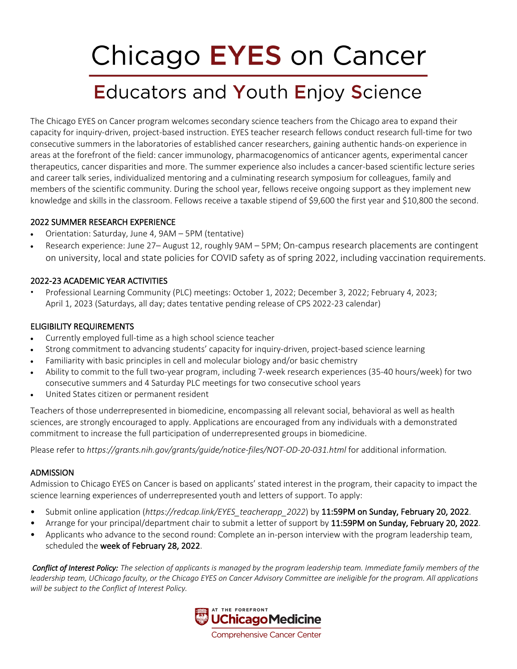# Chicago EYES on Cancer

# **Educators and Youth Enjoy Science**

The Chicago EYES on Cancer program welcomes secondary science teachers from the Chicago area to expand their capacity for inquiry-driven, project-based instruction. EYES teacher research fellows conduct research full-time for two consecutive summers in the laboratories of established cancer researchers, gaining authentic hands-on experience in areas at the forefront of the field: cancer immunology, pharmacogenomics of anticancer agents, experimental cancer therapeutics, cancer disparities and more. The summer experience also includes a cancer-based scientific lecture series and career talk series, individualized mentoring and a culminating research symposium for colleagues, family and members of the scientific community. During the school year, fellows receive ongoing support as they implement new knowledge and skills in the classroom. Fellows receive a taxable stipend of \$9,600 the first year and \$10,800 the second.

### 2022 SUMMER RESEARCH EXPERIENCE

- Orientation: Saturday, June 4, 9AM 5PM (tentative)
- Research experience: June 27– August 12, roughly 9AM 5PM; On-campus research placements are contingent on university, local and state policies for COVID safety as of spring 2022, including vaccination requirements.

# 2022-23 ACADEMIC YEAR ACTIVITIES

• Professional Learning Community (PLC) meetings: October 1, 2022; December 3, 2022; February 4, 2023; April 1, 2023 (Saturdays, all day; dates tentative pending release of CPS 2022-23 calendar)

# ELIGIBILITY REQUIREMENTS

- Currently employed full-time as a high school science teacher
- Strong commitment to advancing students' capacity for inquiry-driven, project-based science learning
- Familiarity with basic principles in cell and molecular biology and/or basic chemistry
- Ability to commit to the full two-year program, including 7-week research experiences (35-40 hours/week) for two consecutive summers and 4 Saturday PLC meetings for two consecutive school years
- United States citizen or permanent resident

Teachers of those underrepresented in biomedicine, encompassing all relevant social, behavioral as well as health sciences, are strongly encouraged to apply. Applications are encouraged from any individuals with a demonstrated commitment to increase the full participation of underrepresented groups in biomedicine.

Please refer to *https://grants.nih.gov/grants/guide/notice-files/NOT-OD-20-031.html* for additional information*.*

# ADMISSION

Admission to Chicago EYES on Cancer is based on applicants' stated interest in the program, their capacity to impact the science learning experiences of underrepresented youth and letters of support. To apply:

- Submit online application (*https://redcap.link/EYES* teacherapp 2022) by 11:59PM on Sunday, February 20, 2022.
- Arrange for your principal/department chair to submit a letter of support by 11:59PM on Sunday, February 20, 2022.
- Applicants who advance to the second round: Complete an in-person interview with the program leadership team, scheduled the week of February 28, 2022.

*Conflict of Interest Policy: The selection of applicants is managed by the program leadership team. Immediate family members of the leadership team, UChicago faculty, or the Chicago EYES on Cancer Advisory Committee are ineligible for the program. All applications will be subject to the Conflict of Interest Policy.*